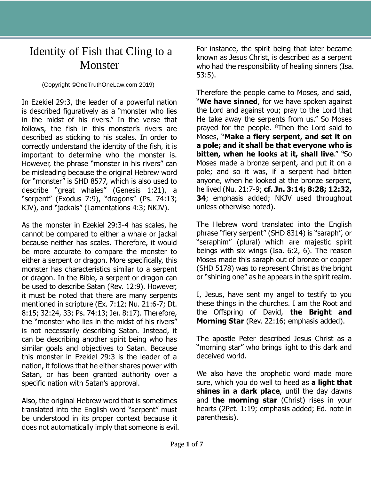## Identity of Fish that Cling to a Monster

## (Copyright ©OneTruthOneLaw.com 2019)

In Ezekiel 29:3, the leader of a powerful nation is described figuratively as a "monster who lies in the midst of his rivers." In the verse that follows, the fish in this monster's rivers are described as sticking to his scales. In order to correctly understand the identity of the fish, it is important to determine who the monster is. However, the phrase "monster in his rivers" can be misleading because the original Hebrew word for "monster" is SHD 8577, which is also used to describe "great whales" (Genesis 1:21), a "serpent" (Exodus 7:9), "dragons" (Ps. 74:13; KJV), and "jackals" (Lamentations 4:3; NKJV).

As the monster in Ezekiel 29:3-4 has scales, he cannot be compared to either a whale or jackal because neither has scales. Therefore, it would be more accurate to compare the monster to either a serpent or dragon. More specifically, this monster has characteristics similar to a serpent or dragon. In the Bible, a serpent or dragon can be used to describe Satan (Rev. 12:9). However, it must be noted that there are many serpents mentioned in scripture (Ex. 7:12; Nu. 21:6-7; Dt. 8:15; 32:24, 33; Ps. 74:13; Jer. 8:17). Therefore, the "monster who lies in the midst of his rivers" is not necessarily describing Satan. Instead, it can be describing another spirit being who has similar goals and objectives to Satan. Because this monster in Ezekiel 29:3 is the leader of a nation, it follows that he either shares power with Satan, or has been granted authority over a specific nation with Satan's approval.

Also, the original Hebrew word that is sometimes translated into the English word "serpent" must be understood in its proper context because it does not automatically imply that someone is evil. For instance, the spirit being that later became known as Jesus Christ, is described as a serpent who had the responsibility of healing sinners (Isa. 53:5).

Therefore the people came to Moses, and said, "**We have sinned**, for we have spoken against the Lord and against you; pray to the Lord that He take away the serpents from us." So Moses prayed for the people. <sup>8</sup>Then the Lord said to Moses, "**Make a fiery serpent, and set it on a pole; and it shall be that everyone who is bitten, when he looks at it, shall live.**" <sup>9</sup>So Moses made a bronze serpent, and put it on a pole; and so it was, if a serpent had bitten anyone, when he looked at the bronze serpent, he lived (Nu. 21:7-9; **cf. Jn. 3:14; 8:28; 12:32, 34**; emphasis added; NKJV used throughout unless otherwise noted).

The Hebrew word translated into the English phrase "fiery serpent" (SHD 8314) is "saraph", or "seraphim" (plural) which are majestic spirit beings with six wings (Isa. 6:2, 6). The reason Moses made this saraph out of bronze or copper (SHD 5178) was to represent Christ as the bright or "shining one" as he appears in the spirit realm.

I, Jesus, have sent my angel to testify to you these things in the churches. I am the Root and the Offspring of David, **the Bright and Morning Star** (Rev. 22:16; emphasis added).

The apostle Peter described Jesus Christ as a "morning star" who brings light to this dark and deceived world.

We also have the prophetic word made more sure, which you do well to heed as **a light that shines in a dark place**, until the day dawns and **the morning star** (Christ) rises in your hearts (2Pet. 1:19; emphasis added; Ed. note in parenthesis).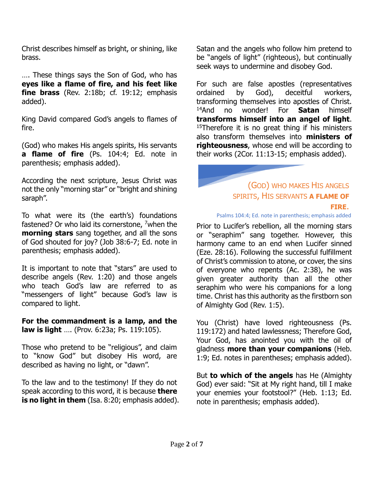Christ describes himself as bright, or shining, like brass.

…. These things says the Son of God, who has **eyes like a flame of fire, and his feet like fine brass** (Rev. 2:18b; cf. 19:12; emphasis added).

King David compared God's angels to flames of fire.

(God) who makes His angels spirits, His servants **a flame of fire** (Ps. 104:4; Ed. note in parenthesis; emphasis added).

According the next scripture, Jesus Christ was not the only "morning star" or "bright and shining saraph".

To what were its (the earth's) foundations fastened? Or who laid its cornerstone, <sup>7</sup>when the **morning stars** sang together, and all the sons of God shouted for joy? (Job 38:6-7; Ed. note in parenthesis; emphasis added).

It is important to note that "stars" are used to describe angels (Rev. 1:20) and those angels who teach God's law are referred to as "messengers of light" because God's law is compared to light.

**For the commandment is a lamp, and the law is light** …. (Prov. 6:23a; Ps. 119:105).

Those who pretend to be "religious", and claim to "know God" but disobey His word, are described as having no light, or "dawn".

To the law and to the testimony! If they do not speak according to this word, it is because **there is no light in them** (Isa. 8:20; emphasis added). Satan and the angels who follow him pretend to be "angels of light" (righteous), but continually seek ways to undermine and disobey God.

For such are false apostles (representatives ordained by God), deceitful workers, transforming themselves into apostles of Christ. <sup>14</sup>And no wonder! For **Satan** himself **transforms himself into an angel of light**.  $15$ Therefore it is no great thing if his ministers also transform themselves into **ministers of righteousness**, whose end will be according to their works (2Cor. 11:13-15; emphasis added).

> (GOD) WHO MAKES HIS ANGELS SPIRITS, HIS SERVANTS **A FLAME OF FIRE**.

Psalms 104:4; Ed. note in parenthesis; emphasis added

Prior to Lucifer's rebellion, all the morning stars or "seraphim" sang together. However, this harmony came to an end when Lucifer sinned (Eze. 28:16). Following the successful fulfillment of Christ's commission to atone, or cover, the sins of everyone who repents (Ac. 2:38), he was given greater authority than all the other seraphim who were his companions for a long time. Christ has this authority as the firstborn son of Almighty God (Rev. 1:5).

You (Christ) have loved righteousness (Ps. 119:172) and hated lawlessness; Therefore God, Your God, has anointed you with the oil of gladness **more than your companions** (Heb. 1:9; Ed. notes in parentheses; emphasis added).

But **to which of the angels** has He (Almighty God) ever said: "Sit at My right hand, till I make your enemies your footstool?" (Heb. 1:13; Ed. note in parenthesis; emphasis added).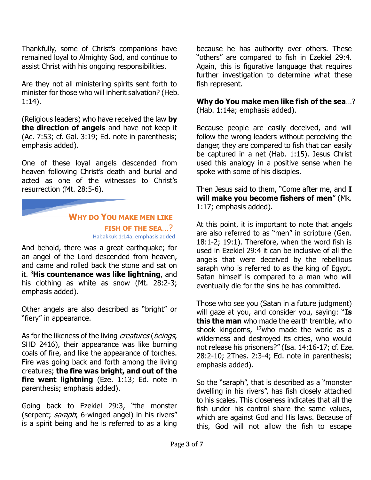Thankfully, some of Christ's companions have remained loyal to Almighty God, and continue to assist Christ with his ongoing responsibilities.

Are they not all ministering spirits sent forth to minister for those who will inherit salvation? (Heb. 1:14).

(Religious leaders) who have received the law **by the direction of angels** and have not keep it (Ac. 7:53; cf. Gal. 3:19; Ed. note in parenthesis; emphasis added).

One of these loyal angels descended from heaven following Christ's death and burial and acted as one of the witnesses to Christ's resurrection (Mt. 28:5-6).

## **WHY DO YOU MAKE MEN LIKE FISH OF THE SEA**…? Habakkuk 1:14a; emphasis added

And behold, there was a great earthquake; for an angel of the Lord descended from heaven, and came and rolled back the stone and sat on it. <sup>3</sup>**His countenance was like lightning**, and his clothing as white as snow (Mt. 28:2-3; emphasis added).

Other angels are also described as "bright" or "fiery" in appearance.

As for the likeness of the living creatures (beings; SHD 2416), their appearance was like burning coals of fire, and like the appearance of torches. Fire was going back and forth among the living creatures; **the fire was bright, and out of the fire went lightning** (Eze. 1:13; Ed. note in parenthesis; emphasis added).

Going back to Ezekiel 29:3, "the monster (serpent; saraph; 6-winged angel) in his rivers" is a spirit being and he is referred to as a king because he has authority over others. These "others" are compared to fish in Ezekiel 29:4. Again, this is figurative language that requires further investigation to determine what these fish represent.

**Why do You make men like fish of the sea**…? (Hab. 1:14a; emphasis added).

Because people are easily deceived, and will follow the wrong leaders without perceiving the danger, they are compared to fish that can easily be captured in a net (Hab. 1:15). Jesus Christ used this analogy in a positive sense when he spoke with some of his disciples.

Then Jesus said to them, "Come after me, and **I will make you become fishers of men**" (Mk. 1:17; emphasis added).

At this point, it is important to note that angels are also referred to as "men" in scripture (Gen. 18:1-2; 19:1). Therefore, when the word fish is used in Ezekiel 29:4 it can be inclusive of all the angels that were deceived by the rebellious saraph who is referred to as the king of Egypt. Satan himself is compared to a man who will eventually die for the sins he has committed.

Those who see you (Satan in a future judgment) will gaze at you, and consider you, saying: "**Is this the man** who made the earth tremble, who shook kingdoms,  $17$ who made the world as a wilderness and destroyed its cities, who would not release his prisoners?" (Isa. 14:16-17; cf. Eze. 28:2-10; 2Thes. 2:3-4; Ed. note in parenthesis; emphasis added).

So the "saraph", that is described as a "monster dwelling in his rivers", has fish closely attached to his scales. This closeness indicates that all the fish under his control share the same values, which are against God and His laws. Because of this, God will not allow the fish to escape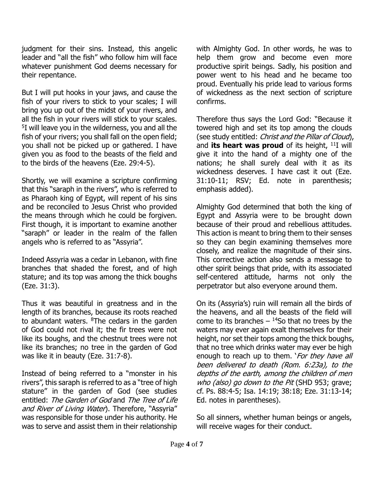judgment for their sins. Instead, this angelic leader and "all the fish" who follow him will face whatever punishment God deems necessary for their repentance.

But I will put hooks in your jaws, and cause the fish of your rivers to stick to your scales; I will bring you up out of the midst of your rivers, and all the fish in your rivers will stick to your scales. 5 I will leave you in the wilderness, you and all the fish of your rivers; you shall fall on the open field; you shall not be picked up or gathered. I have given you as food to the beasts of the field and to the birds of the heavens (Eze. 29:4-5).

Shortly, we will examine a scripture confirming that this "saraph in the rivers", who is referred to as Pharaoh king of Egypt, will repent of his sins and be reconciled to Jesus Christ who provided the means through which he could be forgiven. First though, it is important to examine another "saraph" or leader in the realm of the fallen angels who is referred to as "Assyria".

Indeed Assyria was a cedar in Lebanon, with fine branches that shaded the forest, and of high stature; and its top was among the thick boughs (Eze. 31:3).

Thus it was beautiful in greatness and in the length of its branches, because its roots reached to abundant waters. <sup>8</sup>The cedars in the garden of God could not rival it; the fir trees were not like its boughs, and the chestnut trees were not like its branches; no tree in the garden of God was like it in beauty (Eze. 31:7-8).

Instead of being referred to a "monster in his rivers", this saraph is referred to as a "tree of high stature" in the garden of God (see studies entitled: The Garden of God and The Tree of Life and River of Living Water). Therefore, "Assyria" was responsible for those under his authority. He was to serve and assist them in their relationship

with Almighty God. In other words, he was to help them grow and become even more productive spirit beings. Sadly, his position and power went to his head and he became too proud. Eventually his pride lead to various forms of wickedness as the next section of scripture confirms.

Therefore thus says the Lord God: "Because it towered high and set its top among the clouds (see study entitled: Christ and the Pillar of Cloud), and **its heart was proud** of its height, <sup>11</sup>I will give it into the hand of a mighty one of the nations; he shall surely deal with it as its wickedness deserves. I have cast it out (Eze. 31:10-11; RSV; Ed. note in parenthesis; emphasis added).

Almighty God determined that both the king of Egypt and Assyria were to be brought down because of their proud and rebellious attitudes. This action is meant to bring them to their senses so they can begin examining themselves more closely, and realize the magnitude of their sins. This corrective action also sends a message to other spirit beings that pride, with its associated self-centered attitude, harms not only the perpetrator but also everyone around them.

On its (Assyria's) ruin will remain all the birds of the heavens, and all the beasts of the field will come to its branches  $-$  <sup>14</sup>So that no trees by the waters may ever again exalt themselves for their height, nor set their tops among the thick boughs, that no tree which drinks water may ever be high enough to reach up to them. '*For they have all* been delivered to death (Rom. 6:23a), to the depths of the earth, among the children of men who (also) go down to the Pit (SHD 953; grave; cf. Ps. 88:4-5; Isa. 14:19; 38:18; Eze. 31:13-14; Ed. notes in parentheses).

So all sinners, whether human beings or angels, will receive wages for their conduct.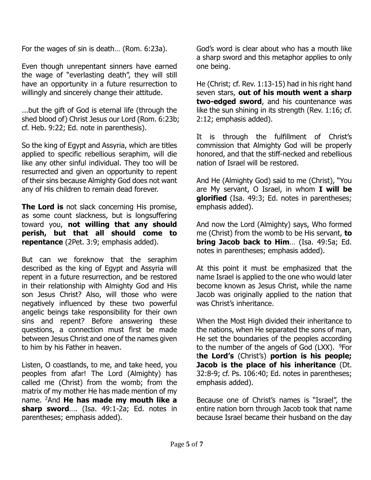For the wages of sin is death… (Rom. 6:23a).

Even though unrepentant sinners have earned the wage of "everlasting death", they will still have an opportunity in a future resurrection to willingly and sincerely change their attitude.

...but the gift of God is eternal life (through the shed blood of) Christ Jesus our Lord (Rom. 6:23b; cf. Heb. 9:22; Ed. note in parenthesis).

So the king of Egypt and Assyria, which are titles applied to specific rebellious seraphim, will die like any other sinful individual. They too will be resurrected and given an opportunity to repent of their sins because Almighty God does not want any of His children to remain dead forever.

**The Lord is** not slack concerning His promise, as some count slackness, but is longsuffering toward you, **not willing that any should perish, but that all should come to repentance** (2Pet. 3:9; emphasis added).

But can we foreknow that the seraphim described as the king of Egypt and Assyria will repent in a future resurrection, and be restored in their relationship with Almighty God and His son Jesus Christ? Also, will those who were negatively influenced by these two powerful angelic beings take responsibility for their own sins and repent? Before answering these questions, a connection must first be made between Jesus Christ and one of the names given to him by his Father in heaven.

Listen, O coastlands, to me, and take heed, you peoples from afar! The Lord (Almighty) has called me (Christ) from the womb; from the matrix of my mother He has made mention of my name. <sup>2</sup>And **He has made my mouth like a sharp sword**…. (Isa. 49:1-2a; Ed. notes in parentheses; emphasis added).

God's word is clear about who has a mouth like a sharp sword and this metaphor applies to only one being.

He (Christ; cf. Rev. 1:13-15) had in his right hand seven stars, **out of his mouth went a sharp two-edged sword**, and his countenance was like the sun shining in its strength (Rev. 1:16; cf. 2:12; emphasis added).

It is through the fulfillment of Christ's commission that Almighty God will be properly honored, and that the stiff-necked and rebellious nation of Israel will be restored.

And He (Almighty God) said to me (Christ), "You are My servant, O Israel, in whom **I will be glorified** (Isa. 49:3; Ed. notes in parentheses; emphasis added).

And now the Lord (Almighty) says, Who formed me (Christ) from the womb to be His servant, **to bring Jacob back to Him**… (Isa. 49:5a; Ed. notes in parentheses; emphasis added).

At this point it must be emphasized that the name Israel is applied to the one who would later become known as Jesus Christ, while the name Jacob was originally applied to the nation that was Christ's inheritance.

When the Most High divided their inheritance to the nations, when He separated the sons of man, He set the boundaries of the peoples according to the number of the angels of God  $(LXX)$ .  $9For$ t**he Lord's** (Christ's) **portion is his people; Jacob is the place of his inheritance** (Dt. 32:8-9; cf. Ps. 106:40; Ed. notes in parentheses; emphasis added).

Because one of Christ's names is "Israel", the entire nation born through Jacob took that name because Israel became their husband on the day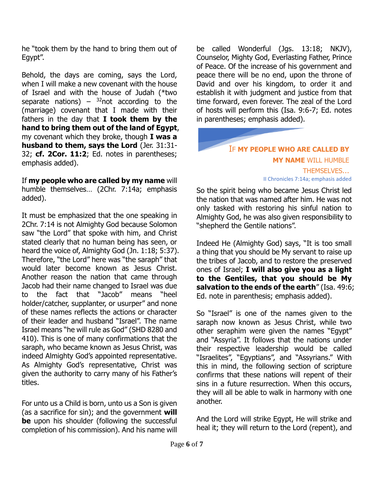he "took them by the hand to bring them out of Egypt".

Behold, the days are coming, says the Lord, when I will make a new covenant with the house of Israel and with the house of Judah (\*two separate nations) –  $32$ not according to the (marriage) covenant that I made with their fathers in the day that **I took them by the hand to bring them out of the land of Egypt**, my covenant which they broke, though **I was a husband to them, says the Lord** (Jer. 31:31- 32; **cf. 2Cor. 11:2**; Ed. notes in parentheses; emphasis added).

If **my people who are called by my name** will humble themselves… (2Chr. 7:14a; emphasis added).

It must be emphasized that the one speaking in 2Chr. 7:14 is not Almighty God because Solomon saw "the Lord" that spoke with him, and Christ stated clearly that no human being has seen, or heard the voice of, Almighty God (Jn. 1:18; 5:37). Therefore, "the Lord" here was "the saraph" that would later become known as Jesus Christ. Another reason the nation that came through Jacob had their name changed to Israel was due to the fact that "Jacob" means "heel holder/catcher, supplanter, or usurper" and none of these names reflects the actions or character of their leader and husband "Israel". The name Israel means "he will rule as God" (SHD 8280 and 410). This is one of many confirmations that the saraph, who became known as Jesus Christ, was indeed Almighty God's appointed representative. As Almighty God's representative, Christ was given the authority to carry many of his Father's titles.

For unto us a Child is born, unto us a Son is given (as a sacrifice for sin); and the government **will be** upon his shoulder (following the successful completion of his commission). And his name will be called Wonderful (Jgs. 13:18; NKJV), Counselor, Mighty God, Everlasting Father, Prince of Peace. Of the increase of his government and peace there will be no end, upon the throne of David and over his kingdom, to order it and establish it with judgment and justice from that time forward, even forever. The zeal of the Lord of hosts will perform this (Isa. 9:6-7; Ed. notes in parentheses; emphasis added).



II Chronicles 7:14a; emphasis added

So the spirit being who became Jesus Christ led the nation that was named after him. He was not only tasked with restoring his sinful nation to Almighty God, he was also given responsibility to "shepherd the Gentile nations".

Indeed He (Almighty God) says, "It is too small a thing that you should be My servant to raise up the tribes of Jacob, and to restore the preserved ones of Israel; **I will also give you as a light to the Gentiles, that you should be My salvation to the ends of the earth**" (Isa. 49:6; Ed. note in parenthesis; emphasis added).

So "Israel" is one of the names given to the saraph now known as Jesus Christ, while two other seraphim were given the names "Egypt" and "Assyria". It follows that the nations under their respective leadership would be called "Israelites", "Egyptians", and "Assyrians." With this in mind, the following section of scripture confirms that these nations will repent of their sins in a future resurrection. When this occurs, they will all be able to walk in harmony with one another.

And the Lord will strike Egypt, He will strike and heal it; they will return to the Lord (repent), and